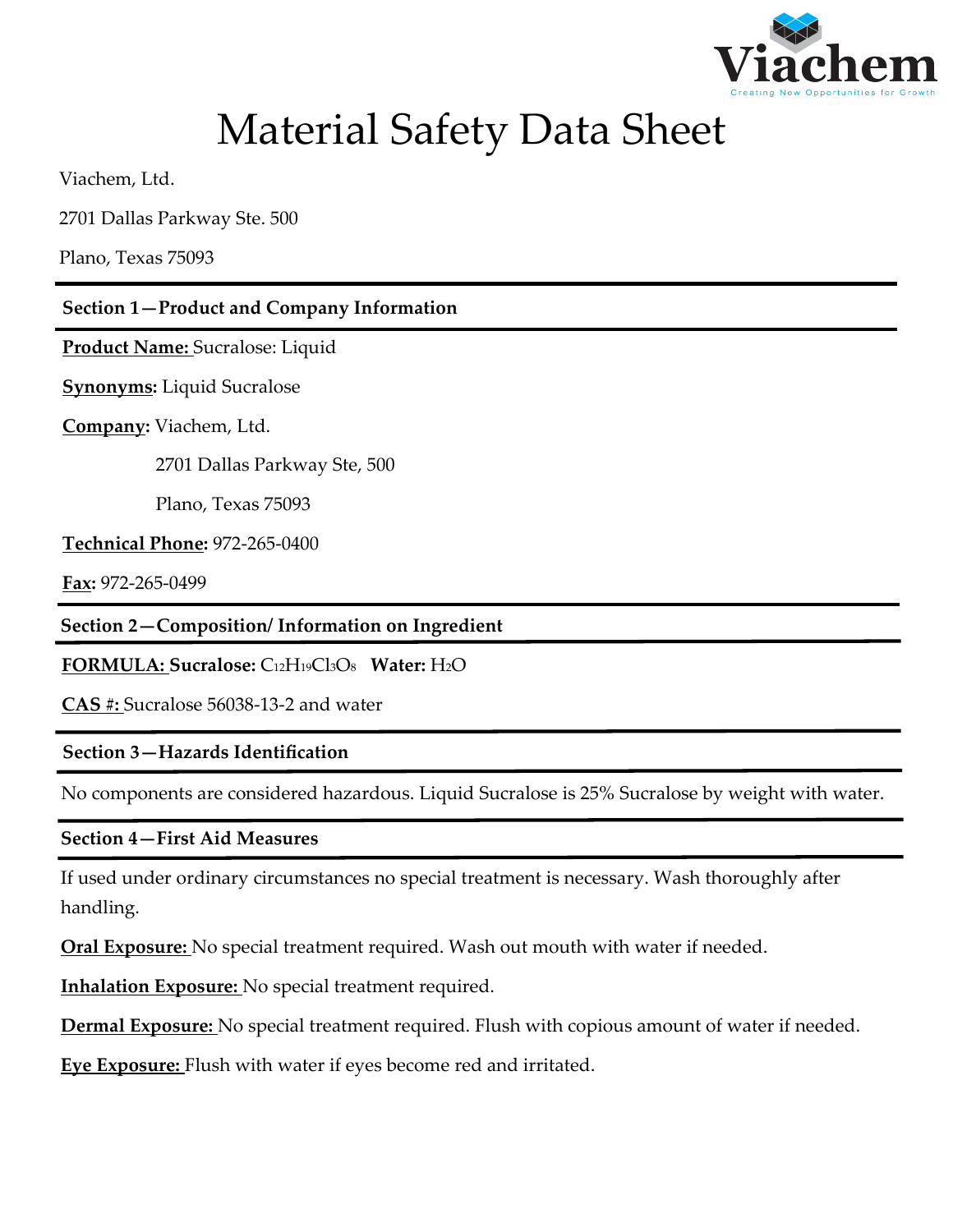

# Material Safety Data Sheet

Viachem, Ltd.

2701 Dallas Parkway Ste. 500

Plano, Texas 75093

# **Section 1—Product and Company Information**

**Product Name:** Sucralose: Liquid

**Synonyms:** Liquid Sucralose

**Company:** Viachem, Ltd.

2701 Dallas Parkway Ste, 500

Plano, Texas 75093

**Technical Phone:** 972-265-0400

**Fax:** 972-265-0499

**Section 2—Composition/ Information on Ingredient**

**FORMULA: Sucralose:** C12H19Cl3O8 **Water:** H2O

**CAS #:** Sucralose 56038-13-2 and water

# **Section 3—Hazards Identification**

No components are considered hazardous. Liquid Sucralose is 25% Sucralose by weight with water.

# **Section 4—First Aid Measures**

If used under ordinary circumstances no special treatment is necessary. Wash thoroughly after handling.

**Oral Exposure:** No special treatment required. Wash out mouth with water if needed.

**Inhalation Exposure:** No special treatment required.

**Dermal Exposure:** No special treatment required. Flush with copious amount of water if needed.

**Eye Exposure:** Flush with water if eyes become red and irritated.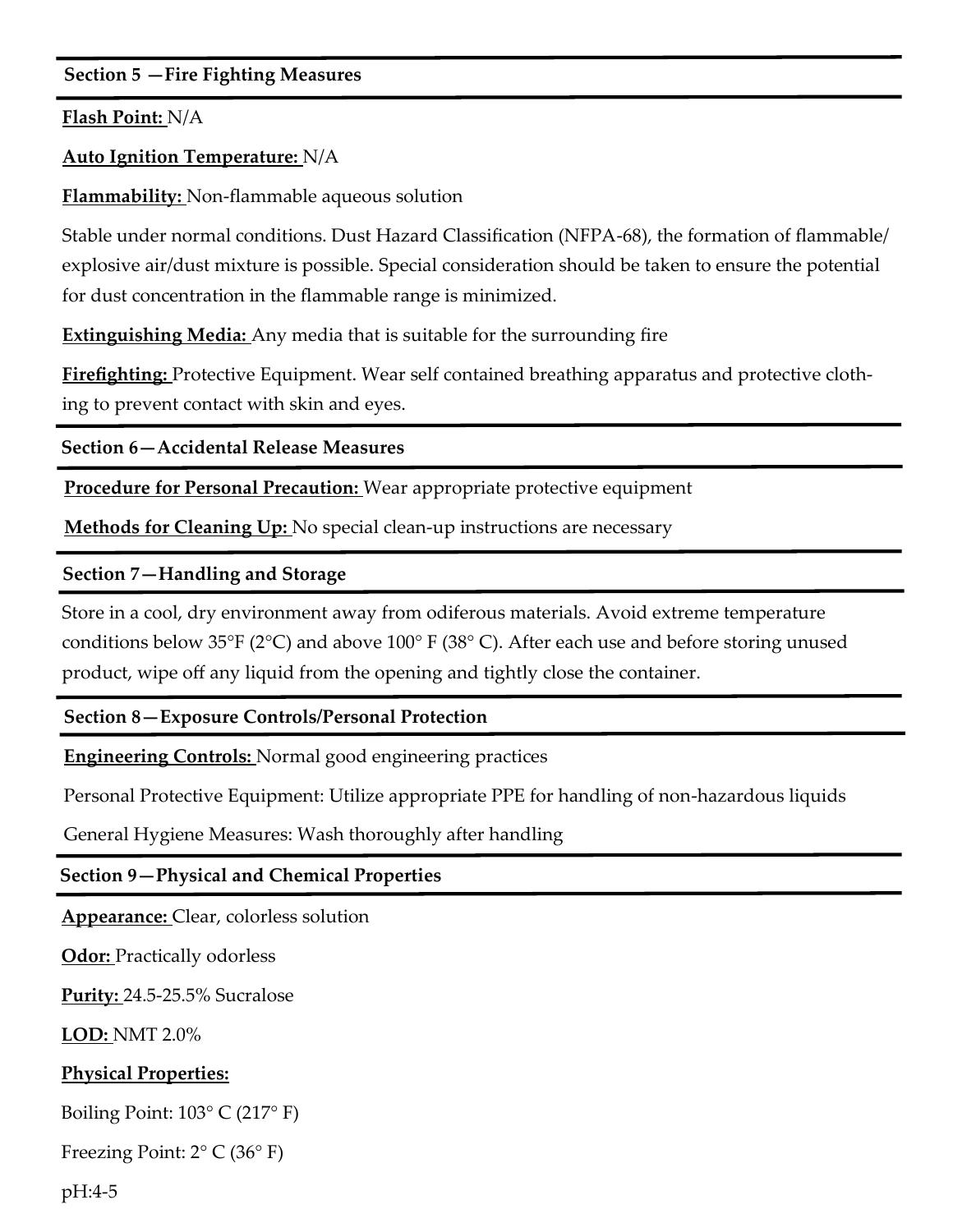# **Section 5 —Fire Fighting Measures**

**Flash Point:** N/A

# **Auto Ignition Temperature:** N/A

**Flammability:** Non-flammable aqueous solution

Stable under normal conditions. Dust Hazard Classification (NFPA-68), the formation of flammable/ explosive air/dust mixture is possible. Special consideration should be taken to ensure the potential for dust concentration in the flammable range is minimized.

**Extinguishing Media:** Any media that is suitable for the surrounding fire

**Firefighting:** Protective Equipment. Wear self contained breathing apparatus and protective clothing to prevent contact with skin and eyes.

**Section 6—Accidental Release Measures**

**Procedure for Personal Precaution:** Wear appropriate protective equipment

**Methods for Cleaning Up:** No special clean-up instructions are necessary

# **Section 7—Handling and Storage**

Store in a cool, dry environment away from odiferous materials. Avoid extreme temperature conditions below 35°F (2°C) and above 100° F (38° C). After each use and before storing unused product, wipe off any liquid from the opening and tightly close the container.

# **Section 8—Exposure Controls/Personal Protection**

**Engineering Controls:** Normal good engineering practices

Personal Protective Equipment: Utilize appropriate PPE for handling of non-hazardous liquids

General Hygiene Measures: Wash thoroughly after handling

# **Section 9—Physical and Chemical Properties**

**Appearance:** Clear, colorless solution

**Odor:** Practically odorless

**Purity:** 24.5-25.5% Sucralose

**LOD:** NMT 2.0%

# **Physical Properties:**

Boiling Point:  $103^{\circ}$  C (217 $^{\circ}$  F)

Freezing Point: 2° C (36° F)

pH:4-5